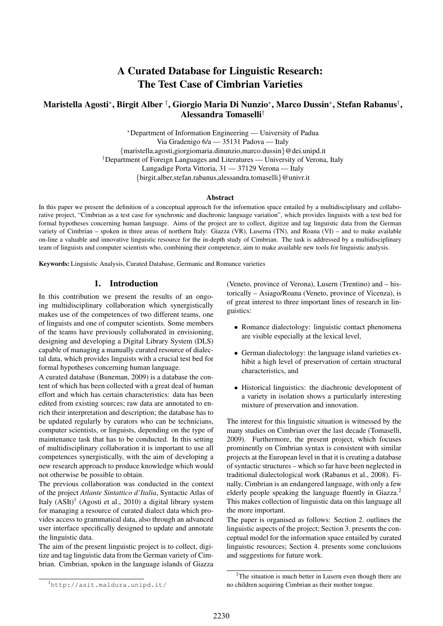# A Curated Database for Linguistic Research: The Test Case of Cimbrian Varieties

# Maristella Agosti\*, Birgit Alber <sup>†</sup>, Giorgio Maria Di Nunzio\*, Marco Dussin\*, Stefan Rabanus<sup>†</sup>, Alessandra Tomaselli†

<sup>∗</sup>Department of Information Engineering — University of Padua Via Gradenigo 6/a — 35131 Padova — Italy {maristella.agosti,giorgiomaria.dinunzio,marco.dussin}@dei.unipd.it †Department of Foreign Languages and Literatures — University of Verona, Italy Lungadige Porta Vittoria, 31 — 37129 Verona — Italy {birgit.alber,stefan.rabanus,alessandra.tomaselli}@univr.it

#### Abstract

In this paper we present the definition of a conceptual approach for the information space entailed by a multidisciplinary and collaborative project, "Cimbrian as a test case for synchronic and diachronic language variation", which provides linguists with a test bed for formal hypotheses concerning human language. Aims of the project are to collect, digitize and tag linguistic data from the German variety of Cimbrian – spoken in three areas of northern Italy: Giazza (VR), Luserna (TN), and Roana (VI) – and to make available on-line a valuable and innovative linguistic resource for the in-depth study of Cimbrian. The task is addressed by a multidisciplinary team of linguists and computer scientists who, combining their competence, aim to make available new tools for linguistic analysis.

Keywords: Linguistic Analysis, Curated Database, Germanic and Romance varieties

#### 1. Introduction

In this contribution we present the results of an ongoing multidisciplinary collaboration which synergistically makes use of the competences of two different teams, one of linguists and one of computer scientists. Some members of the teams have previously collaborated in envisioning, designing and developing a Digital Library System (DLS) capable of managing a manually curated resource of dialectal data, which provides linguists with a crucial test bed for formal hypotheses concerning human language.

A curated database (Buneman, 2009) is a database the content of which has been collected with a great deal of human effort and which has certain characteristics: data has been edited from existing sources; raw data are annotated to enrich their interpretation and description; the database has to be updated regularly by curators who can be technicians, computer scientists, or linguists, depending on the type of maintenance task that has to be conducted. In this setting of multidisciplinary collaboration it is important to use all competences synergistically, with the aim of developing a new research approach to produce knowledge which would not otherwise be possible to obtain.

The previous collaboration was conducted in the context of the project *Atlante Sintattico d'Italia*, Syntactic Atlas of Italy (ASIt)<sup>1</sup> (Agosti et al., 2010) a digital library system for managing a resource of curated dialect data which provides access to grammatical data, also through an advanced user interface specifically designed to update and annotate the linguistic data.

The aim of the present linguistic project is to collect, digitize and tag linguistic data from the German variety of Cimbrian. Cimbrian, spoken in the language islands of Giazza (Veneto, province of Verona), Lusern (Trentino) and – historically – Asiago/Roana (Veneto, province of Vicenza), is of great interest to three important lines of research in linguistics:

- Romance dialectology: linguistic contact phenomena are visible especially at the lexical level,
- German dialectology: the language island varieties exhibit a high level of preservation of certain structural characteristics, and
- Historical linguistics: the diachronic development of a variety in isolation shows a particularly interesting mixture of preservation and innovation.

The interest for this linguistic situation is witnessed by the many studies on Cimbrian over the last decade (Tomaselli, 2009). Furthermore, the present project, which focuses prominently on Cimbrian syntax is consistent with similar projects at the European level in that it is creating a database of syntactic structures – which so far have been neglected in traditional dialectological work (Rabanus et al., 2008). Finally, Cimbrian is an endangered language, with only a few elderly people speaking the language fluently in Giazza.<sup>2</sup> This makes collection of linguistic data on this language all the more important.

The paper is organised as follows: Section 2. outlines the linguistic aspects of the project; Section 3. presents the conceptual model for the information space entailed by curated linguistic resources; Section 4. presents some conclusions and suggestions for future work.

<sup>1</sup>http://asit.maldura.unipd.it/

 $2$ The situation is much better in Lusern even though there are no children acquiring Cimbrian as their mother tongue.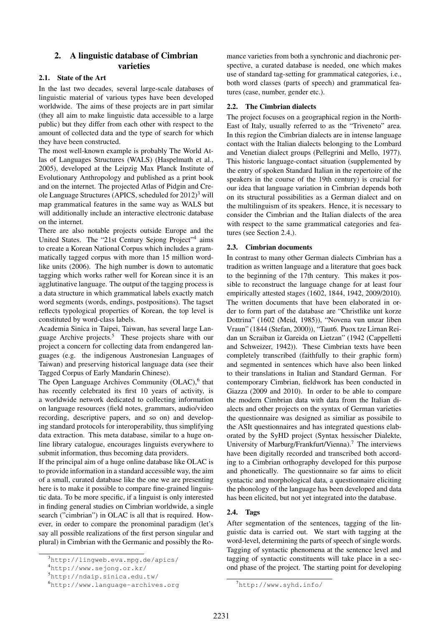# 2. A linguistic database of Cimbrian varieties

# 2.1. State of the Art

In the last two decades, several large-scale databases of linguistic material of various types have been developed worldwide. The aims of these projects are in part similar (they all aim to make linguistic data accessible to a large public) but they differ from each other with respect to the amount of collected data and the type of search for which they have been constructed.

The most well-known example is probably The World Atlas of Languages Structures (WALS) (Haspelmath et al., 2005), developed at the Leipzig Max Planck Institute of Evolutionary Anthropology and published as a print book and on the internet. The projected Atlas of Pidgin and Creole Language Structures (APICS, scheduled for  $2012$ <sup>3</sup> will map grammatical features in the same way as WALS but will additionally include an interactive electronic database on the internet.

There are also notable projects outside Europe and the United States. The "21st Century Sejong Project"<sup>4</sup> aims to create a Korean National Corpus which includes a grammatically tagged corpus with more than 15 million wordlike units (2006). The high number is down to automatic tagging which works rather well for Korean since it is an agglutinative language. The output of the tagging process is a data structure in which grammatical labels exactly match word segments (words, endings, postpositions). The tagset reflects typological properties of Korean, the top level is constituted by word-class labels.

Academia Sinica in Taipei, Taiwan, has several large Language Archive projects.<sup>5</sup> These projects share with our project a concern for collecting data from endangered languages (e.g. the indigenous Austronesian Languages of Taiwan) and preserving historical language data (see their Tagged Corpus of Early Mandarin Chinese).

The Open Language Archives Community (OLAC),<sup>6</sup> that has recently celebrated its first 10 years of activity, is a worldwide network dedicated to collecting information on language resources (field notes, grammars, audio/video recording, descriptive papers, and so on) and developing standard protocols for interoperability, thus simplifying data extraction. This meta database, similar to a huge online library catalogue, encourages linguists everywhere to submit information, thus becoming data providers.

If the principal aim of a huge online database like OLAC is to provide information in a standard accessible way, the aim of a small, curated database like the one we are presenting here is to make it possible to compare fine-grained linguistic data. To be more specific, if a linguist is only interested in finding general studies on Cimbrian worldwide, a single search ("cimbrian") in OLAC is all that is required. However, in order to compare the pronominal paradigm (let's say all possible realizations of the first person singular and plural) in Cimbrian with the Germanic and possibly the Romance varieties from both a synchronic and diachronic perspective, a curated database is needed, one which makes use of standard tag-setting for grammatical categories, i.e., both word classes (parts of speech) and grammatical features (case, number, gender etc.).

### 2.2. The Cimbrian dialects

The project focuses on a geographical region in the North-East of Italy, usually referred to as the "Triveneto" area. In this region the Cimbrian dialects are in intense language contact with the Italian dialects belonging to the Lombard and Venetian dialect groups (Pellegrini and Mello, 1977). This historic language-contact situation (supplemented by the entry of spoken Standard Italian in the repertoire of the speakers in the course of the 19th century) is crucial for our idea that language variation in Cimbrian depends both on its structural possibilities as a German dialect and on the multilinguism of its speakers. Hence, it is necessary to consider the Cimbrian and the Italian dialects of the area with respect to the same grammatical categories and features (see Section 2.4.).

#### 2.3. Cimbrian documents

In contrast to many other German dialects Cimbrian has a tradition as written language and a literature that goes back to the beginning of the 17th century. This makes it possible to reconstruct the language change for at least four empirically attested stages (1602, 1844, 1942, 2009/2010). The written documents that have been elaborated in order to form part of the database are "Christlike unt korze Dottrina" (1602 (Meid, 1985)), "Novena vun unzar liben Vraun" (1844 (Stefan, 2000)), "Taut6. Puox tze Lirnan Reidan un Scraiban iz Gareida on Lietzan" (1942 (Cappelletti and Schweizer, 1942)). These Cimbrian texts have been completely transcribed (faithfully to their graphic form) and segmented in sentences which have also been linked to their translations in Italian and Standard German. For contemporary Cimbrian, fieldwork has been conducted in Giazza (2009 and 2010). In order to be able to compare the modern Cimbrian data with data from the Italian dialects and other projects on the syntax of German varieties the questionnaire was designed as similiar as possibile to the ASIt questionnaires and has integrated questions elaborated by the SyHD project (Syntax hessischer Dialekte, University of Marburg/Frankfurt/Vienna).<sup>7</sup> The interviews have been digitally recorded and transcribed both according to a Cimbrian orthography developed for this purpose and phonetically. The questionnaire so far aims to elicit syntactic and morphological data, a questionnaire eliciting the phonology of the language has been developed and data has been elicited, but not yet integrated into the database.

## 2.4. Tags

After segmentation of the sentences, tagging of the linguistic data is carried out. We start with tagging at the word-level, determining the parts of speech of single words. Tagging of syntactic phenomena at the sentence level and tagging of syntactic constituents will take place in a second phase of the project. The starting point for developing

<sup>3</sup>http://lingweb.eva.mpg.de/apics/

<sup>4</sup>http://www.sejong.or.kr/

<sup>5</sup>http://ndaip.sinica.edu.tw/

<sup>6</sup>http://www.language-archives.org

<sup>7</sup>http://www.syhd.info/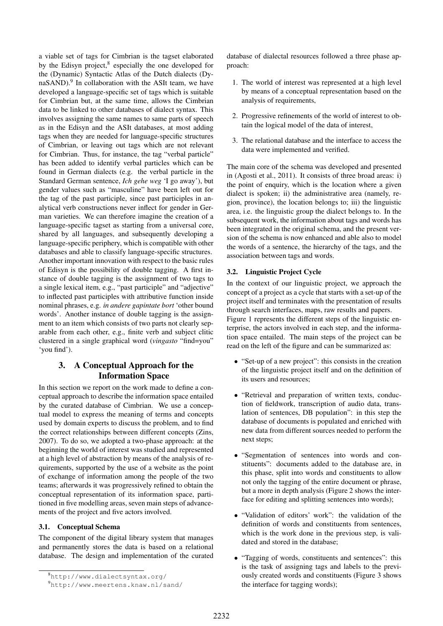a viable set of tags for Cimbrian is the tagset elaborated by the Edisyn project,<sup>8</sup> especially the one developed for the (Dynamic) Syntactic Atlas of the Dutch dialects (DynaSAND). $9$  In collaboration with the ASIt team, we have developed a language-specific set of tags which is suitable for Cimbrian but, at the same time, allows the Cimbrian data to be linked to other databases of dialect syntax. This involves assigning the same names to same parts of speech as in the Edisyn and the ASIt databases, at most adding tags when they are needed for language-specific structures of Cimbrian, or leaving out tags which are not relevant for Cimbrian. Thus, for instance, the tag "verbal particle" has been added to identify verbal particles which can be found in German dialects (e.g. the verbal particle in the Standard German sentence, *Ich gehe weg* 'I go away'), but gender values such as "masculine" have been left out for the tag of the past participle, since past participles in analytical verb constructions never inflect for gender in German varieties. We can therefore imagine the creation of a language-specific tagset as starting from a universal core, shared by all languages, and subsequently developing a language-specific periphery, which is compatible with other databases and able to classify language-specific structures. Another important innovation with respect to the basic rules of Edisyn is the possibility of double tagging. A first instance of double tagging is the assignment of two tags to a single lexical item, e.g., "past participle" and "adjective" to inflected past participles with attributive function inside nominal phrases, e.g. *in andere gapintate bort* 'other bound words'. Another instance of double tagging is the assignment to an item which consists of two parts not clearly separable from each other, e.g., finite verb and subject clitic clustered in a single graphical word (*vingasto* "find=you" 'you find').

# 3. A Conceptual Approach for the Information Space

In this section we report on the work made to define a conceptual approach to describe the information space entailed by the curated database of Cimbrian. We use a conceptual model to express the meaning of terms and concepts used by domain experts to discuss the problem, and to find the correct relationships between different concepts (Zins, 2007). To do so, we adopted a two-phase approach: at the beginning the world of interest was studied and represented at a high level of abstraction by means of the analysis of requirements, supported by the use of a website as the point of exchange of information among the people of the two teams; afterwards it was progressively refined to obtain the conceptual representation of its information space, partitioned in five modelling areas, seven main steps of advancements of the project and five actors involved.

## 3.1. Conceptual Schema

The component of the digital library system that manages and permanently stores the data is based on a relational database. The design and implementation of the curated database of dialectal resources followed a three phase approach:

- 1. The world of interest was represented at a high level by means of a conceptual representation based on the analysis of requirements,
- 2. Progressive refinements of the world of interest to obtain the logical model of the data of interest,
- 3. The relational database and the interface to access the data were implemented and verified.

The main core of the schema was developed and presented in (Agosti et al., 2011). It consists of three broad areas: i) the point of enquiry, which is the location where a given dialect is spoken; ii) the administrative area (namely, region, province), the location belongs to; iii) the linguistic area, i.e. the linguistic group the dialect belongs to. In the subsequent work, the information about tags and words has been integrated in the original schema, and the present version of the schema is now enhanced and able also to model the words of a sentence, the hierarchy of the tags, and the association between tags and words.

#### 3.2. Linguistic Project Cycle

In the context of our linguistic project, we approach the concept of a project as a cycle that starts with a set-up of the project itself and terminates with the presentation of results through search interfaces, maps, raw results and papers. Figure 1 represents the different steps of the linguistic enterprise, the actors involved in each step, and the information space entailed. The main steps of the project can be read on the left of the figure and can be summarized as:

- "Set-up of a new project": this consists in the creation of the linguistic project itself and on the definition of its users and resources;
- "Retrieval and preparation of written texts, conduction of fieldwork, transcription of audio data, translation of sentences, DB population": in this step the database of documents is populated and enriched with new data from different sources needed to perform the next steps;
- "Segmentation of sentences into words and constituents": documents added to the database are, in this phase, split into words and constituents to allow not only the tagging of the entire document or phrase, but a more in depth analysis (Figure 2 shows the interface for editing and splitting sentences into words);
- "Validation of editors' work": the validation of the definition of words and constituents from sentences, which is the work done in the previous step, is validated and stored in the database;
- "Tagging of words, constituents and sentences": this is the task of assigning tags and labels to the previously created words and constituents (Figure 3 shows the interface for tagging words);

 $\sqrt[8]{a}$ http://www.dialectsyntax.org/

<sup>9</sup>http://www.meertens.knaw.nl/sand/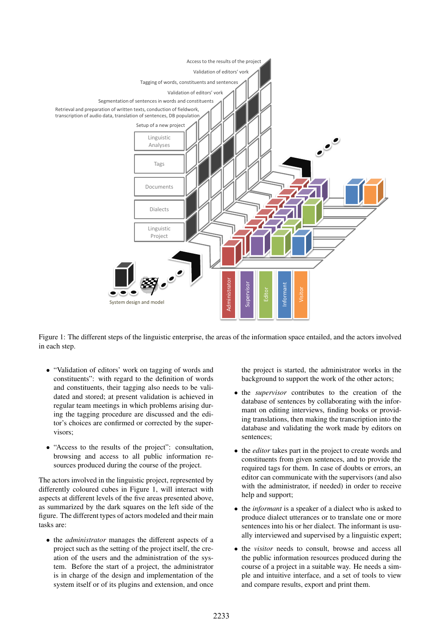

Figure 1: The different steps of the linguistic enterprise, the areas of the information space entailed, and the actors involved in each step.

- "Validation of editors' work on tagging of words and constituents": with regard to the definition of words and constituents, their tagging also needs to be validated and stored; at present validation is achieved in regular team meetings in which problems arising during the tagging procedure are discussed and the editor's choices are confirmed or corrected by the supervisors;
- "Access to the results of the project": consultation, browsing and access to all public information resources produced during the course of the project.

The actors involved in the linguistic project, represented by differently coloured cubes in Figure 1, will interact with aspects at different levels of the five areas presented above, as summarized by the dark squares on the left side of the figure. The different types of actors modeled and their main tasks are:

• the *administrator* manages the different aspects of a project such as the setting of the project itself, the creation of the users and the administration of the system. Before the start of a project, the administrator is in charge of the design and implementation of the system itself or of its plugins and extension, and once

the project is started, the administrator works in the background to support the work of the other actors;

- the *supervisor* contributes to the creation of the database of sentences by collaborating with the informant on editing interviews, finding books or providing translations, then making the transcription into the database and validating the work made by editors on sentences;
- the *editor* takes part in the project to create words and constituents from given sentences, and to provide the required tags for them. In case of doubts or errors, an editor can communicate with the supervisors (and also with the administrator, if needed) in order to receive help and support;
- the *informant* is a speaker of a dialect who is asked to produce dialect utterances or to translate one or more sentences into his or her dialect. The informant is usually interviewed and supervised by a linguistic expert;
- the *visitor* needs to consult, browse and access all the public information resources produced during the course of a project in a suitable way. He needs a simple and intuitive interface, and a set of tools to view and compare results, export and print them.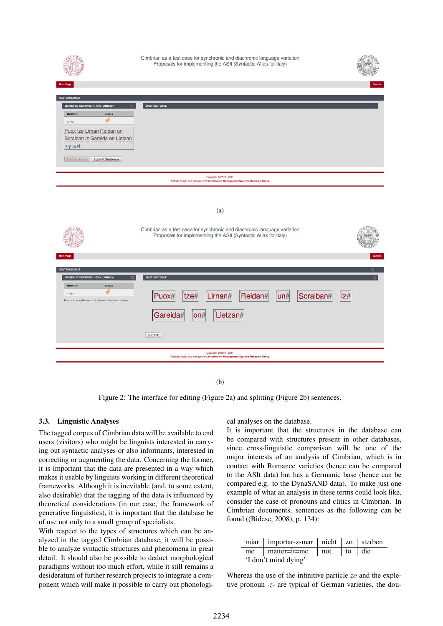|                                                                                                                                                                                                                                          | Cimbrian as a test case for synchronic and diachronic language variation<br>Proposals for implementing the ASIt (Syntactic Atlas for Italy) |                                    |  |  |  |  |  |
|------------------------------------------------------------------------------------------------------------------------------------------------------------------------------------------------------------------------------------------|---------------------------------------------------------------------------------------------------------------------------------------------|------------------------------------|--|--|--|--|--|
| <b>Main Page</b><br><b>SENTENCE SPLIT</b><br>SENTENCE IDENTIFIER: 47983 [CIMBRO]<br>同<br>identifier<br>status<br>₽<br>47983<br>Puox tze Lirnan Reidan un<br>Scraiban iz Gareida on Lietzan<br>my text<br>Edit Sentence   Submit Sentence | <b>SPLIT SENTENCE</b>                                                                                                                       | <b>Credits</b><br>$\Box$<br>$\Box$ |  |  |  |  |  |
| Copyright © 2010 - 2011<br>Website design and management: Information Management Systems Research Group                                                                                                                                  |                                                                                                                                             |                                    |  |  |  |  |  |
|                                                                                                                                                                                                                                          | (a)                                                                                                                                         |                                    |  |  |  |  |  |
|                                                                                                                                                                                                                                          | Cimbrian as a test case for synchronic and diachronic language variation<br>Proposals for implementing the ASIt (Syntactic Atlas for Italy) |                                    |  |  |  |  |  |
| Main Page<br><b>SENTENCE SPLIT</b>                                                                                                                                                                                                       |                                                                                                                                             | <b>Credits</b><br>$\Box$           |  |  |  |  |  |
| SENTENCE IDENTIFIER: 47983 [CIMBRO]<br>identifier<br>status<br>◢<br>47983<br>Puox tze Lirnan Reidan un Scraiban iz Gareida on Lietzan                                                                                                    | <b>SPLIT SENTENCE</b><br>Reidan#<br>Scraiban#<br>Puox#<br>Lirnan#<br>un#<br>tze#<br>liz#<br>Gareida#<br>Lietzan#<br>on#                     | $\Box$                             |  |  |  |  |  |
|                                                                                                                                                                                                                                          | Submit                                                                                                                                      |                                    |  |  |  |  |  |
| Copyright © 2010 - 2011<br>Website design and management: Information Management Systems Research Group                                                                                                                                  |                                                                                                                                             |                                    |  |  |  |  |  |

(b)

Figure 2: The interface for editing (Figure 2a) and splitting (Figure 2b) sentences.

#### 3.3. Linguistic Analyses

The tagged corpus of Cimbrian data will be available to end users (visitors) who might be linguists interested in carrying out syntactic analyses or also informants, interested in correcting or augmenting the data. Concerning the former, it is important that the data are presented in a way which makes it usable by linguists working in different theoretical frameworks. Although it is inevitable (and, to some extent, also desirable) that the tagging of the data is influenced by theoretical considerations (in our case, the framework of generative linguistics), it is important that the database be of use not only to a small group of specialists.

With respect to the types of structures which can be analyzed in the tagged Cimbrian database, it will be possible to analyze syntactic structures and phenomena in great detail. It should also be possible to deduct morphological paradigms without too much effort, while it still remains a desideratum of further research projects to integrate a component which will make it possible to carry out phonological analyses on the database.

It is important that the structures in the database can be compared with structures present in other databases, since cross-linguistic comparison will be one of the major interests of an analysis of Cimbrian, which is in contact with Romance varieties (hence can be compared to the ASIt data) but has a Germanic base (hence can be compared e.g. to the DynaSAND data). To make just one example of what an analysis in these terms could look like, consider the case of pronouns and clitics in Cimbrian. In Cimbrian documents, sentences as the following can be found ((Bidese, 2008), p. 134):

|                      | $\text{min}$   importar-z-mar   nicht   zo   sterben |  |  |  |  |
|----------------------|------------------------------------------------------|--|--|--|--|
|                      | me   matter=it=me   not   to   die                   |  |  |  |  |
| 'I don't mind dying' |                                                      |  |  |  |  |

Whereas the use of the infinitive particle *zo* and the expletive pronoun *-z-* are typical of German varieties, the dou-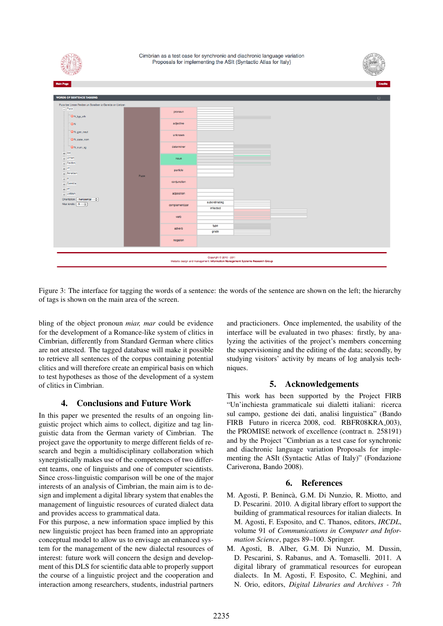

Figure 3: The interface for tagging the words of a sentence: the words of the sentence are shown on the left; the hierarchy of tags is shown on the main area of the screen.

bling of the object pronoun *miar, mar* could be evidence for the development of a Romance-like system of clitics in Cimbrian, differently from Standard German where clitics are not attested. The tagged database will make it possible to retrieve all sentences of the corpus containing potential clitics and will therefore create an empirical basis on which to test hypotheses as those of the development of a system of clitics in Cimbrian.

# 4. Conclusions and Future Work

In this paper we presented the results of an ongoing linguistic project which aims to collect, digitize and tag linguistic data from the German variety of Cimbrian. The project gave the opportunity to merge different fields of research and begin a multidisciplinary collaboration which synergistically makes use of the competences of two different teams, one of linguists and one of computer scientists. Since cross-linguistic comparison will be one of the major interests of an analysis of Cimbrian, the main aim is to design and implement a digital library system that enables the management of linguistic resources of curated dialect data and provides access to grammatical data.

For this purpose, a new information space implied by this new linguistic project has been framed into an appropriate conceptual model to allow us to envisage an enhanced system for the management of the new dialectal resources of interest: future work will concern the design and development of this DLS for scientific data able to properly support the course of a linguistic project and the cooperation and interaction among researchers, students, industrial partners and practicioners. Once implemented, the usability of the interface will be evaluated in two phases: firstly, by analyzing the activities of the project's members concerning the supervisioning and the editing of the data; secondly, by studying visitors' activity by means of log analysis techniques.

## 5. Acknowledgements

This work has been supported by the Project FIRB "Un'inchiesta grammaticale sui dialetti italiani: ricerca sul campo, gestione dei dati, analisi linguistica" (Bando FIRB Futuro in ricerca 2008, cod. RBFR08KRA\_003), the PROMISE network of excellence (contract n. 258191) and by the Project "Cimbrian as a test case for synchronic and diachronic language variation Proposals for implementing the ASIt (Syntactic Atlas of Italy)" (Fondazione Cariverona, Bando 2008).

#### 6. References

- M. Agosti, P. Beninca, G.M. Di Nunzio, R. Miotto, and ` D. Pescarini. 2010. A digital library effort to support the building of grammatical resources for italian dialects. In M. Agosti, F. Esposito, and C. Thanos, editors, *IRCDL*, volume 91 of *Communications in Computer and Information Science*, pages 89–100. Springer.
- M. Agosti, B. Alber, G.M. Di Nunzio, M. Dussin, D. Pescarini, S. Rabanus, and A. Tomaselli. 2011. A digital library of grammatical resources for european dialects. In M. Agosti, F. Esposito, C. Meghini, and N. Orio, editors, *Digital Libraries and Archives - 7th*